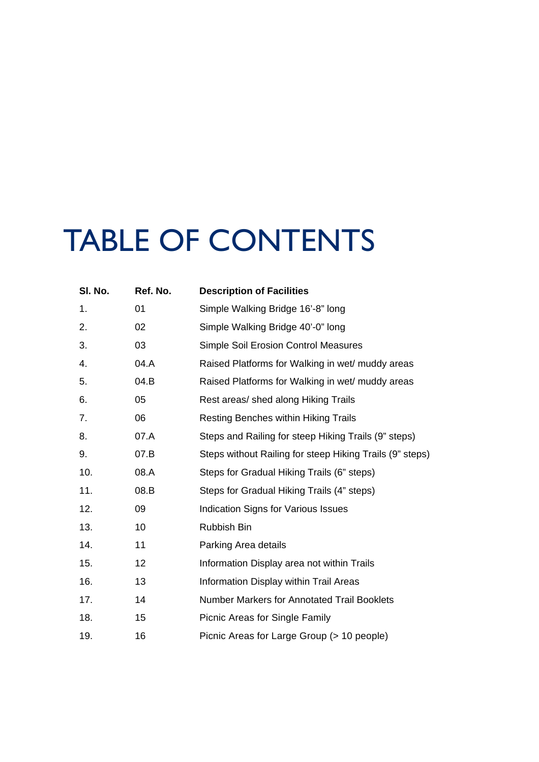## TABLE OF CONTENTS

| SI. No. | Ref. No. | <b>Description of Facilities</b>                         |
|---------|----------|----------------------------------------------------------|
| 1.      | 01       | Simple Walking Bridge 16'-8" long                        |
| 2.      | 02       | Simple Walking Bridge 40'-0" long                        |
| 3.      | 03       | <b>Simple Soil Erosion Control Measures</b>              |
| 4.      | 04.A     | Raised Platforms for Walking in wet/ muddy areas         |
| 5.      | 04.B     | Raised Platforms for Walking in wet/ muddy areas         |
| 6.      | 05       | Rest areas/ shed along Hiking Trails                     |
| 7.      | 06       | <b>Resting Benches within Hiking Trails</b>              |
| 8.      | 07.A     | Steps and Railing for steep Hiking Trails (9" steps)     |
| 9.      | 07.B     | Steps without Railing for steep Hiking Trails (9" steps) |
| 10.     | 08.A     | Steps for Gradual Hiking Trails (6" steps)               |
| 11.     | 08.B     | Steps for Gradual Hiking Trails (4" steps)               |
| 12.     | 09       | Indication Signs for Various Issues                      |
| 13.     | 10       | Rubbish Bin                                              |
| 14.     | 11       | Parking Area details                                     |
| 15.     | 12       | Information Display area not within Trails               |
| 16.     | 13       | Information Display within Trail Areas                   |
| 17.     | 14       | <b>Number Markers for Annotated Trail Booklets</b>       |
| 18.     | 15       | Picnic Areas for Single Family                           |
| 19.     | 16       | Picnic Areas for Large Group (> 10 people)               |